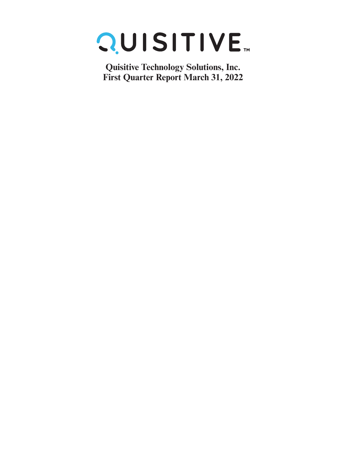

**Quisitive Technology Solutions, Inc. First Quarter Report March 31, 2022**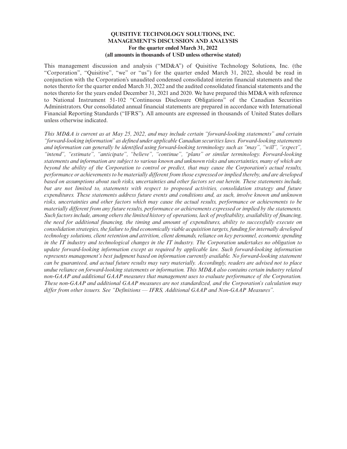This management discussion and analysis ("MD&A") of Quisitive Technology Solutions, Inc. (the "Corporation", "Quisitive", "we" or "us") for the quarter ended March 31, 2022, should be read in conjunction with the Corporation's unaudited condensed consolidated interim financial statements and the notes thereto for the quarter ended March 31, 2022 and the audited consolidated financial statements and the notes thereto for the years ended December 31, 2021 and 2020. We have prepared this MD&A with reference to National Instrument 51-102 "Continuous Disclosure Obligations" of the Canadian Securities Administrators. Our consolidated annual financial statements are prepared in accordance with International Financial Reporting Standards ("IFRS"). All amounts are expressed in thousands of United States dollars unless otherwise indicated.

*This MD&A is current as at May 25, 2022, and may include certain "forward-looking statements" and certain "forward-looking information" as defined under applicable Canadian securities laws. Forward-looking statements and information can generally be identified using forward-looking terminology such as "may", "will", "expect", "intend", "estimate", "anticipate", "believe", "continue", "plans" or similar terminology. Forward-looking statements and information are subject to various known and unknown risks and uncertainties, many of which are beyond the ability of the Corporation to control or predict, that may cause the Corporation's actual results, performance or achievements to be materially different from those expressed or implied thereby, and are developed based on assumptions about such risks, uncertainties and other factors set out herein. These statements include, but are not limited to, statements with respect to proposed activities, consolidation strategy and future expenditures. These statements address future events and conditions and, as such, involve known and unknown risks, uncertainties and other factors which may cause the actual results, performance or achievements to be materially different from any future results, performance or achievements expressed or implied by the statements. Such factors include, among others the limited history of operations, lack of profitability, availability of financing, the need for additional financing, the timing and amount of expenditures, ability to successfully execute on consolidation strategies, the failure to find economically viable acquisition targets, funding for internally developed technology solutions, client retention and attrition, client demands, reliance on key personnel, economic spending in the IT industry and technological changes in the IT industry. The Corporation undertakes no obligation to update forward-looking information except as required by applicable law. Such forward-looking information represents management's best judgment based on information currently available. No forward-looking statement can be guaranteed, and actual future results may vary materially. Accordingly, readers are advised not to place undue reliance on forward-looking statements or information. This MD&A also contains certain industry related non-GAAP and additional GAAP measures that management uses to evaluate performance of the Corporation. These non-GAAP and additional GAAP measures are not standardized, and the Corporation's calculation may differ from other issuers. See "Definitions — IFRS, Additional GAAP and Non-GAAP Measures".*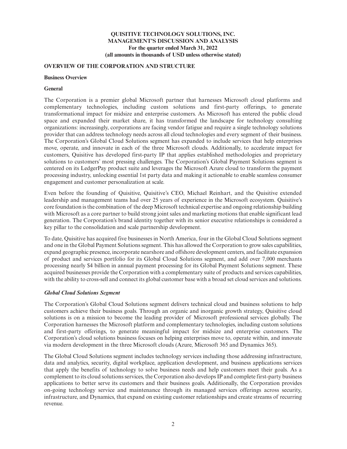### **OVERVIEW OF THE CORPORATION AND STRUCTURE**

#### **Business Overview**

### **General**

The Corporation is a premier global Microsoft partner that harnesses Microsoft cloud platforms and complementary technologies, including custom solutions and first-party offerings, to generate transformational impact for midsize and enterprise customers. As Microsoft has entered the public cloud space and expanded their market share, it has transformed the landscape for technology consulting organizations: increasingly, corporations are facing vendor fatigue and require a single technology solutions provider that can address technology needs across all cloud technologies and every segment of their business. The Corporation's Global Cloud Solutions segment has expanded to include services that help enterprises move, operate, and innovate in each of the three Microsoft clouds. Additionally, to accelerate impact for customers, Quisitive has developed first-party IP that applies established methodologies and proprietary solutions to customers' most pressing challenges. The Corporation's Global Payment Solutions segment is centered on its LedgerPay product suite and leverages the Microsoft Azure cloud to transform the payment processing industry, unlocking essential 1st party data and making it actionable to enable seamless consumer engagement and customer personalization at scale.

Even before the founding of Quisitive, Quisitive's CEO, Michael Reinhart, and the Quisitive extended leadership and management teams had over 25 years of experience in the Microsoft ecosystem. Quisitive's core foundation is the combination of the deep Microsoft technical expertise and ongoing relationship building with Microsoft as a core partner to build strong joint sales and marketing motions that enable significant lead generation. The Corporation's brand identity together with its senior executive relationships is considered a key pillar to the consolidation and scale partnership development.

To date, Quisitive has acquired five businesses in North America, four in the Global Cloud Solutions segment and one in the Global Payment Solutions segment. This has allowed the Corporation to grow sales capabilities, expand geographic presence, incorporate nearshore and offshore development centers, and facilitate expansion of product and services portfolio for its Global Cloud Solutions segment, and add over 7,000 merchants processing nearly \$4 billion in annual payment processing for its Global Payment Solutions segment. These acquired businesses provide the Corporation with a complementary suite of products and services capabilities, with the ability to cross-sell and connect its global customer base with a broad set cloud services and solutions.

# *Global Cloud Solutions Segment*

The Corporation's Global Cloud Solutions segment delivers technical cloud and business solutions to help customers achieve their business goals. Through an organic and inorganic growth strategy, Quisitive cloud solutions is on a mission to become the leading provider of Microsoft professional services globally. The Corporation harnesses the Microsoft platform and complementary technologies, including custom solutions and first-party offerings, to generate meaningful impact for midsize and enterprise customers. The Corporation's cloud solutions business focuses on helping enterprises move to, operate within, and innovate via modern development in the three Microsoft clouds (Azure, Microsoft 365 and Dynamics 365).

The Global Cloud Solutions segment includes technology services including those addressing infrastructure, data and analytics, security, digital workplace, application development, and business applications services that apply the benefits of technology to solve business needs and help customers meet their goals. As a complement to its cloud solutions services, the Corporation also develops IP and complete first-party business applications to better serve its customers and their business goals. Additionally, the Corporation provides on-going technology service and maintenance through its managed services offerings across security, infrastructure, and Dynamics, that expand on existing customer relationships and create streams of recurring revenue.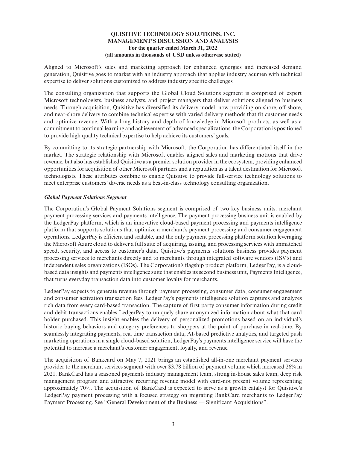Aligned to Microsoft's sales and marketing approach for enhanced synergies and increased demand generation, Quisitive goes to market with an industry approach that applies industry acumen with technical expertise to deliver solutions customized to address industry specific challenges.

The consulting organization that supports the Global Cloud Solutions segment is comprised of expert Microsoft technologists, business analysts, and project managers that deliver solutions aligned to business needs. Through acquisition, Quisitive has diversified its delivery model, now providing on-shore, off-shore, and near-shore delivery to combine technical expertise with varied delivery methods that fit customer needs and optimize revenue. With a long history and depth of knowledge in Microsoft products, as well as a commitment to continual learning and achievement of advanced specializations, the Corporation is positioned to provide high quality technical expertise to help achieve its customers' goals.

By committing to its strategic partnership with Microsoft, the Corporation has differentiated itself in the market. The strategic relationship with Microsoft enables aligned sales and marketing motions that drive revenue, but also has established Quisitive as a premier solution provider in the ecosystem, providing enhanced opportunities for acquisition of other Microsoft partners and a reputation as a talent destination for Microsoft technologists. These attributes combine to enable Quisitive to provide full-service technology solutions to meet enterprise customers' diverse needs as a best-in-class technology consulting organization.

## *Global Payment Solutions Segment*

The Corporation's Global Payment Solutions segment is comprised of two key business units: merchant payment processing services and payments intelligence. The payment processing business unit is enabled by the LedgerPay platform, which is an innovative cloud-based payment processing and payments intelligence platform that supports solutions that optimize a merchant's payment processing and consumer engagement operations. LedgerPay is efficient and scalable, and the only payment processing platform solution leveraging the Microsoft Azure cloud to deliver a full suite of acquiring, issuing, and processing services with unmatched speed, security, and access to customer's data. Quisitive's payments solutions business provides payment processing services to merchants directly and to merchants through integrated software vendors (ISV's) and independent sales organizations (ISOs). The Corporation's flagship product platform, LedgerPay, is a cloudbased data insights and payments intelligence suite that enables its second business unit, Payments Intelligence, that turns everyday transaction data into customer loyalty for merchants.

LedgerPay expects to generate revenue through payment processing, consumer data, consumer engagement and consumer activation transaction fees. LedgerPay's payments intelligence solution captures and analyzes rich data from every card-based transaction. The capture of first party consumer information during credit and debit transactions enables LedgerPay to uniquely share anonymized information about what that card holder purchased. This insight enables the delivery of personalized promotions based on an individual's historic buying behaviors and category preferences to shoppers at the point of purchase in real-time. By seamlessly integrating payments, real time transaction data, AI-based predictive analytics, and targeted push marketing operations in a single cloud-based solution, LedgerPay's payments intelligence service will have the potential to increase a merchant's customer engagement, loyalty, and revenue.

The acquisition of Bankcard on May 7, 2021 brings an established all-in-one merchant payment services provider to the merchant services segment with over \$3.78 billion of payment volume which increased 26% in 2021. BankCard has a seasoned payments industry management team, strong in-house sales team, deep risk management program and attractive recurring revenue model with card-not present volume representing approximately 70%. The acquisition of BankCard is expected to serve as a growth catalyst for Quisitive's LedgerPay payment processing with a focused strategy on migrating BankCard merchants to LedgerPay Payment Processing. See "General Development of the Business — Significant Acquisitions".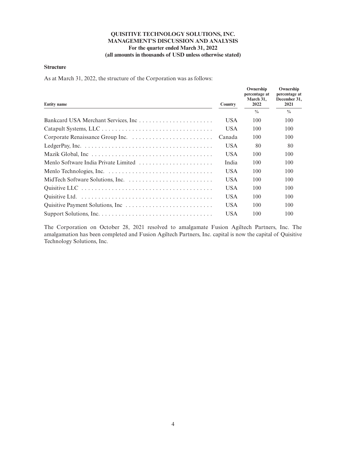#### **Structure**

As at March 31, 2022, the structure of the Corporation was as follows:

| <b>Entity name</b>                                                                                    | <b>Country</b> | Ownership<br>percentage at<br>March 31.<br>2022 | Ownership<br>percentage at<br>December 31,<br>2021 |
|-------------------------------------------------------------------------------------------------------|----------------|-------------------------------------------------|----------------------------------------------------|
|                                                                                                       |                | $\frac{0}{0}$                                   | $\frac{0}{0}$                                      |
|                                                                                                       | USA.           | 100                                             | 100                                                |
|                                                                                                       | USA.           | 100                                             | 100                                                |
|                                                                                                       | Canada         | 100                                             | 100                                                |
| LedgerPay, Inc. $\ldots \ldots \ldots \ldots \ldots \ldots \ldots \ldots \ldots \ldots \ldots \ldots$ | USA.           | 80                                              | 80                                                 |
|                                                                                                       | <b>USA</b>     | 100                                             | 100                                                |
| Menlo Software India Private Limited                                                                  | India          | 100                                             | 100                                                |
|                                                                                                       | USA.           | 100                                             | 100                                                |
|                                                                                                       | USA.           | 100                                             | 100                                                |
|                                                                                                       | <b>USA</b>     | 100                                             | 100                                                |
|                                                                                                       | <b>USA</b>     | 100                                             | 100                                                |
|                                                                                                       | USA.           | 100                                             | 100                                                |
|                                                                                                       | <b>USA</b>     | 100                                             | 100                                                |

The Corporation on October 28, 2021 resolved to amalgamate Fusion Agiltech Partners, Inc. The amalgamation has been completed and Fusion Agiltech Partners, Inc. capital is now the capital of Quisitive Technology Solutions, Inc.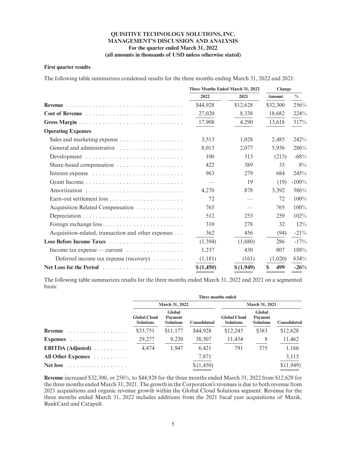#### **First quarter results**

The following table summarizes condensed results for the three months ending March 31, 2022 and 2021:

|                                                                            | Three Months Ended March 31, 2022 |           | Change        |               |
|----------------------------------------------------------------------------|-----------------------------------|-----------|---------------|---------------|
|                                                                            | 2022                              | 2021      | <b>Amount</b> | $\frac{0}{0}$ |
|                                                                            | \$44,928                          | \$12,628  | \$32,300      | 256%          |
|                                                                            | 27,020                            | 8,338     | 18,682        | 224%          |
|                                                                            | 17,908                            | 4,290     | 13,618        | 317%          |
| <b>Operating Expenses</b>                                                  |                                   |           |               |               |
|                                                                            | 3,513                             | 1,028     | 2,485         | 242%          |
|                                                                            | 8,013                             | 2,077     | 5,936         | 286%          |
| Development $\dots\dots\dots\dots\dots\dots\dots\dots\dots\dots\dots\dots$ | 100                               | 313       | (213)         | $-68%$        |
| Share-based compensation $\dots \dots \dots \dots \dots \dots$             | 422                               | 389       | 33            | 8%            |
|                                                                            | 963                               | 279       | 684           | 245%          |
|                                                                            |                                   | 19        | (19)          | $-100%$       |
|                                                                            | 4,270                             | 878       | 3.392         | 386%          |
|                                                                            | 72                                |           | 72            | $100\%$       |
| Acquisition Related Compensation                                           | 765                               |           | 765           | 100%          |
|                                                                            | 512                               | 253       | 259           | $102\%$       |
|                                                                            | 310                               | 278       | 32            | $12\%$        |
| Acquisition-related, transaction and other expenses                        | 362                               | 456       | (94)          | $-21\%$       |
|                                                                            | (1.394)                           | (1,680)   | 286           | $-17%$        |
| Income tax expense — current $\dots \dots \dots \dots \dots$               | 1,237                             | 430       | 807           | 188%          |
| Deferred income tax expense (recovery) $\dots \dots$                       | (1,181)                           | (161)     | (1,020)       | 634%          |
|                                                                            | \$(1,450)                         | \$(1,949) | \$<br>499     | $-26%$        |

The following table summarizes results for the three months ended March 31, 2022 and 2021 on a segmented basis:

|                                                 |                                         |                                              |                     | Three months ended                      |                                       |                     |
|-------------------------------------------------|-----------------------------------------|----------------------------------------------|---------------------|-----------------------------------------|---------------------------------------|---------------------|
|                                                 | March 31, 2022                          |                                              |                     |                                         | March 31, 2021                        |                     |
|                                                 | <b>Global Cloud</b><br><b>Solutions</b> | Global<br><b>Payment</b><br><b>Solutions</b> | <b>Consolidated</b> | <b>Global Cloud</b><br><b>Solutions</b> | Global<br>Payment<br><b>Solutions</b> | <b>Consolidated</b> |
| Revenue                                         | \$33,751                                | \$11,177                                     | \$44,928            | \$12,245                                | \$383                                 | \$12,628            |
| Expenses                                        | 29,277                                  | 9,230                                        | 38,507              | 11,454                                  | 8                                     | 11,462              |
| <b>EBITDA</b> (Adjusted) $\ldots \ldots \ldots$ | 4,474                                   | 1,947                                        | 6,421               | 791                                     | 375                                   | 1,166               |
| All Other Expenses                              |                                         |                                              | 7,871               |                                         |                                       | 3,115               |
| <b>Net loss</b><br>.                            |                                         |                                              | \$(1,450)           |                                         |                                       | \$(1,949)           |

**Revenue** increased \$32,300, or 256%, to \$44,928 for the three months ended March 31, 2022 from \$12,628 for the three months ended March 31, 2021. The growth in the Corporation's revenues is due to both revenue from 2021 acquisitions and organic revenue growth within the Global Cloud Solutions segment. Revenue for the three months ended March 31, 2022 includes additions from the 2021 fiscal year acquisitions of Mazik, BankCard and Catapult.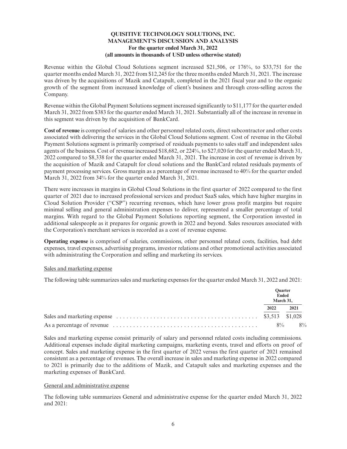Revenue within the Global Cloud Solutions segment increased \$21,506, or 176%, to \$33,751 for the quarter months ended March 31, 2022 from \$12,245 for the three months ended March 31, 2021. The increase was driven by the acquisitions of Mazik and Catapult, completed in the 2021 fiscal year and to the organic growth of the segment from increased knowledge of client's business and through cross-selling across the Company.

Revenue within the Global Payment Solutions segment increased significantly to \$11,177 for the quarter ended March 31, 2022 from \$383 for the quarter ended March 31, 2021. Substantially all of the increase in revenue in this segment was driven by the acquisition of BankCard.

**Cost of revenue** is comprised of salaries and other personnel related costs, direct subcontractor and other costs associated with delivering the services in the Global Cloud Solutions segment. Cost of revenue in the Global Payment Solutions segment is primarily comprised of residuals payments to sales staff and independent sales agents of the business. Cost of revenue increased \$18,682, or 224%, to \$27,020 for the quarter ended March 31, 2022 compared to \$8,338 for the quarter ended March 31, 2021. The increase in cost of revenue is driven by the acquisition of Mazik and Catapult for cloud solutions and the BankCard related residuals payments of payment processing services. Gross margin as a percentage of revenue increased to 40% for the quarter ended March 31, 2022 from 34% for the quarter ended March 31, 2021.

There were increases in margins in Global Cloud Solutions in the first quarter of 2022 compared to the first quarter of 2021 due to increased professional services and product SaaS sales, which have higher margins in Cloud Solution Provider ("CSP") recurring revenues, which have lower gross profit margins but require minimal selling and general administration expenses to deliver, represented a smaller percentage of total margins. With regard to the Global Payment Solutions reporting segment, the Corporation invested in additional salespeople as it prepares for organic growth in 2022 and beyond. Sales resources associated with the Corporation's merchant services is recorded as a cost of revenue expense.

**Operating expense** is comprised of salaries, commissions, other personnel related costs, facilities, bad debt expenses, travel expenses, advertising programs, investor relations and other promotional activities associated with administrating the Corporation and selling and marketing its services.

#### Sales and marketing expense

The following table summarizes sales and marketing expenses for the quarter ended March 31, 2022 and 2021:

| <b>Ouarter</b><br><b>Ended</b><br>March 31. |      |
|---------------------------------------------|------|
| 2022                                        | 2021 |
|                                             |      |
| $8\%$                                       | 8%   |

Sales and marketing expense consist primarily of salary and personnel related costs including commissions. Additional expenses include digital marketing campaigns, marketing events, travel and efforts on proof of concept. Sales and marketing expense in the first quarter of 2022 versus the first quarter of 2021 remained consistent as a percentage of revenues. The overall increase in sales and marketing expense in 2022 compared to 2021 is primarily due to the additions of Mazik, and Catapult sales and marketing expenses and the marketing expenses of BankCard.

# General and administrative expense

The following table summarizes General and administrative expense for the quarter ended March 31, 2022 and 2021: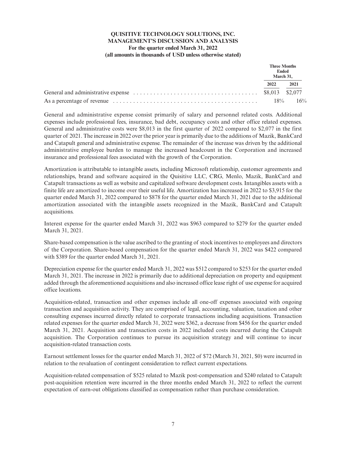|                                                                                                                            | Ended  | <b>Three Months</b><br>March 31. |
|----------------------------------------------------------------------------------------------------------------------------|--------|----------------------------------|
|                                                                                                                            | 2022   | 2021                             |
| General and administrative expense $\ldots \ldots \ldots \ldots \ldots \ldots \ldots \ldots \ldots \ldots$ \$8,013 \$2,077 |        |                                  |
| As a percentage of revenue $\dots \dots \dots \dots \dots \dots \dots \dots \dots \dots \dots \dots \dots \dots$           | $18\%$ | 16%                              |

General and administrative expense consist primarily of salary and personnel related costs. Additional expenses include professional fees, insurance, bad debt, occupancy costs and other office related expenses. General and administrative costs were \$8,013 in the first quarter of 2022 compared to \$2,077 in the first quarter of 2021. The increase in 2022 over the prior year is primarily due to the additions of Mazik, BankCard and Catapult general and administrative expense. The remainder of the increase was driven by the additional administrative employee burden to manage the increased headcount in the Corporation and increased insurance and professional fees associated with the growth of the Corporation.

Amortization is attributable to intangible assets, including Microsoft relationship, customer agreements and relationships, brand and software acquired in the Quisitive LLC, CRG, Menlo, Mazik, BankCard and Catapult transactions as well as website and capitalized software development costs. Intangibles assets with a finite life are amortized to income over their useful life. Amortization has increased in 2022 to \$3,915 for the quarter ended March 31, 2022 compared to \$878 for the quarter ended March 31, 2021 due to the additional amortization associated with the intangible assets recognized in the Mazik, BankCard and Catapult acquisitions.

Interest expense for the quarter ended March 31, 2022 was \$963 compared to \$279 for the quarter ended March 31, 2021.

Share-based compensation is the value ascribed to the granting of stock incentives to employees and directors of the Corporation. Share-based compensation for the quarter ended March 31, 2022 was \$422 compared with \$389 for the quarter ended March 31, 2021.

Depreciation expense for the quarter ended March 31, 2022 was \$512 compared to \$253 for the quarter ended March 31, 2021. The increase in 2022 is primarily due to additional depreciation on property and equipment added through the aforementioned acquisitions and also increased office lease right of use expense for acquired office locations.

Acquisition-related, transaction and other expenses include all one-off expenses associated with ongoing transaction and acquisition activity. They are comprised of legal, accounting, valuation, taxation and other consulting expenses incurred directly related to corporate transactions including acquisitions. Transaction related expenses for the quarter ended March 31, 2022 were \$362, a decrease from \$456 for the quarter ended March 31, 2021. Acquisition and transaction costs in 2022 included costs incurred during the Catapult acquisition. The Corporation continues to pursue its acquisition strategy and will continue to incur acquisition-related transaction costs.

Earnout settlement losses for the quarter ended March 31, 2022 of \$72 (March 31, 2021, \$0) were incurred in relation to the revaluation of contingent consideration to reflect current expectations.

Acquisition-related compensation of \$525 related to Mazik post-compensation and \$240 related to Catapult post-acquisition retention were incurred in the three months ended March 31, 2022 to reflect the current expectation of earn-out obligations classified as compensation rather than purchase consideration.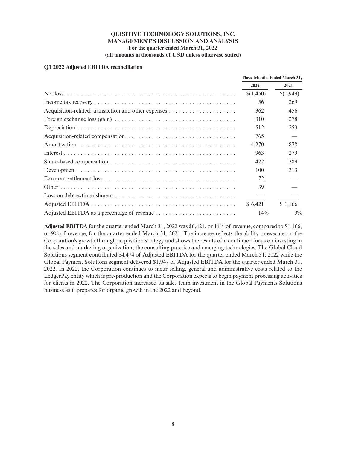## **Q1 2022 Adjusted EBITDA reconciliation**

| Three Months Ended March 31, |           |
|------------------------------|-----------|
| 2022                         | 2021      |
| \$(1,450)                    | \$(1,949) |
| 56                           | 269       |
| 362                          | 456       |
| 310                          | 278       |
| 512                          | 253       |
| 765                          |           |
| 4,270                        | 878       |
| 963                          | 279       |
| 422                          | 389       |
| 100                          | 313       |
| 72                           |           |
| 39                           |           |
|                              |           |
| \$6.421                      | \$1.166   |
| $14\%$                       | $9\%$     |

**Adjusted EBITDA** for the quarter ended March 31, 2022 was \$6,421, or 14% of revenue, compared to \$1,166, or 9% of revenue, for the quarter ended March 31, 2021. The increase reflects the ability to execute on the Corporation's growth through acquisition strategy and shows the results of a continued focus on investing in the sales and marketing organization, the consulting practice and emerging technologies. The Global Cloud Solutions segment contributed \$4,474 of Adjusted EBITDA for the quarter ended March 31, 2022 while the Global Payment Solutions segment delivered \$1,947 of Adjusted EBITDA for the quarter ended March 31, 2022. In 2022, the Corporation continues to incur selling, general and administrative costs related to the LedgerPay entity which is pre-production and the Corporation expects to begin payment processing activities for clients in 2022. The Corporation increased its sales team investment in the Global Payments Solutions business as it prepares for organic growth in the 2022 and beyond.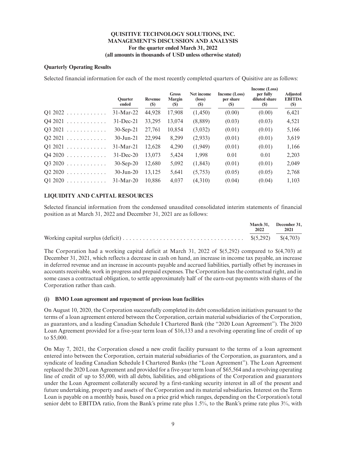## **Quarterly Operating Results**

Selected financial information for each of the most recently completed quarters of Quisitive are as follows:

|                                    | Quarter<br>ended | Revenue<br><b>(\$)</b> | <b>Gross</b><br><b>Margin</b><br><b>(S)</b> | Net income<br>$(\text{loss})$<br>$(\$)$ | Income (Loss)<br>per share<br>(S) | Income (Loss)<br>per fully<br>diluted share<br><b>(\$)</b> | <b>Adjusted</b><br><b>EBITDA</b><br>(S) |
|------------------------------------|------------------|------------------------|---------------------------------------------|-----------------------------------------|-----------------------------------|------------------------------------------------------------|-----------------------------------------|
| $Q1 2022$                          | $31-Mar-22$      | 44,928                 | 17,908                                      | (1,450)                                 | (0.00)                            | (0.00)                                                     | 6,421                                   |
| $Q4\,2021\ldots\ldots\ldots\ldots$ | $31 - Dec-21$    | 33,295                 | 13,074                                      | (8,889)                                 | (0.03)                            | (0.03)                                                     | 4,521                                   |
| Q3 2021<br>.                       | $30-Sep-21$      | 27,761                 | 10,854                                      | (3,032)                                 | (0.01)                            | (0.01)                                                     | 5,166                                   |
| $Q2 2021$                          | $30$ -Jun-21     | 22,994                 | 8,299                                       | (2,933)                                 | (0.01)                            | (0.01)                                                     | 3,619                                   |
| $Q1 2021$                          | $31-Mar-21$      | 12,628                 | 4,290                                       | (1,949)                                 | (0.01)                            | (0.01)                                                     | 1,166                                   |
| $Q4\,2020\ldots\ldots\ldots\ldots$ | $31 - Dec-20$    | 13,073                 | 5,424                                       | 1,998                                   | 0.01                              | 0.01                                                       | 2,203                                   |
| Q3 2020                            | $30-Sep-20$      | 12,680                 | 5,092                                       | (1, 843)                                | (0.01)                            | (0.01)                                                     | 2,049                                   |
| Q2 2020                            | $30$ -Jun-20     | 13,125                 | 5,641                                       | (5,753)                                 | (0.05)                            | (0.05)                                                     | 2,768                                   |
| Q1 2020<br>.                       | $31-Mar-20$      | 10.886                 | 4,037                                       | (4,310)                                 | (0.04)                            | (0.04)                                                     | 1,103                                   |
|                                    |                  |                        |                                             |                                         |                                   |                                                            |                                         |

# **LIQUIDITY AND CAPITAL RESOURCES**

Selected financial information from the condensed unaudited consolidated interim statements of financial position as at March 31, 2022 and December 31, 2021 are as follows:

|                                                                                                                           | 2022 | March 31, December 31,<br>2021 |
|---------------------------------------------------------------------------------------------------------------------------|------|--------------------------------|
| Working capital surplus (deficit) $\dots \dots \dots \dots \dots \dots \dots \dots \dots \dots \dots$ \$(5,292) \$(4,703) |      |                                |

The Corporation had a working capital deficit at March 31, 2022 of \$(5,292) compared to \$(4,703) at December 31, 2021, which reflects a decrease in cash on hand, an increase in income tax payable, an increase in deferred revenue and an increase in accounts payable and accrued liabilities, partially offset by increases in accounts receivable, work in progress and prepaid expenses. The Corporation has the contractual right, and in some cases a contractual obligation, to settle approximately half of the earn-out payments with shares of the Corporation rather than cash.

#### **(i) BMO Loan agreement and repayment of previous loan facilities**

On August 10, 2020, the Corporation successfully completed its debt consolidation initiatives pursuant to the terms of a loan agreement entered between the Corporation, certain material subsidiaries of the Corporation, as guarantors, and a leading Canadian Schedule I Chartered Bank (the "2020 Loan Agreement"). The 2020 Loan Agreement provided for a five-year term loan of \$16,133 and a revolving operating line of credit of up to \$5,000.

On May 7, 2021, the Corporation closed a new credit facility pursuant to the terms of a loan agreement entered into between the Corporation, certain material subsidiaries of the Corporation, as guarantors, and a syndicate of leading Canadian Schedule I Chartered Banks (the "Loan Agreement"). The Loan Agreement replaced the 2020 Loan Agreement and provided for a five-year term loan of \$65,564 and a revolving operating line of credit of up to \$5,000, with all debts, liabilities, and obligations of the Corporation and guarantors under the Loan Agreement collaterally secured by a first-ranking security interest in all of the present and future undertaking, property and assets of the Corporation and its material subsidiaries. Interest on the Term Loan is payable on a monthly basis, based on a price grid which ranges, depending on the Corporation's total senior debt to EBITDA ratio, from the Bank's prime rate plus 1.5%, to the Bank's prime rate plus 3%, with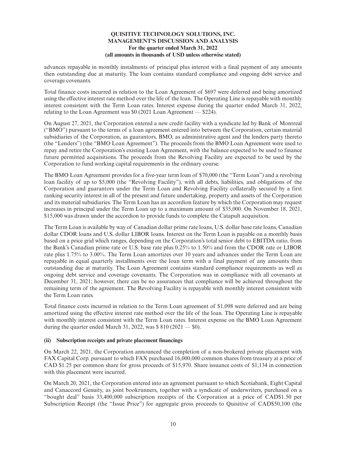advances repayable in monthly instalments of principal plus interest with a final payment of any amounts then outstanding due at maturity. The loan contains standard compliance and ongoing debt service and coverage covenants.

Total finance costs incurred in relation to the Loan Agreement of \$697 were deferred and being amortized using the effective interest rate method over the life of the loan. The Operating Line is repayable with monthly interest consistent with the Term Loan rates. Interest expense during the quarter ended March 31, 2022, relating to the Loan Agreement was \$0 (2021 Loan Agreement — \$224).

On August 27, 2021, the Corporation entered a new credit facility with a syndicate led by Bank of Montreal ("BMO") pursuant to the terms of a loan agreement entered into between the Corporation, certain material subsidiaries of the Corporation, as guarantors, BMO, as administrative agent and the lenders party thereto (the "Lenders") (the "BMO Loan Agreement"). The proceeds from the BMO Loan Agreement were used to repay and retire the Corporation's existing Loan Agreement, with the balance expected to be used to finance future permitted acquisitions. The proceeds from the Revolving Facility are expected to be used by the Corporation to fund working capital requirements in the ordinary course.

The BMO Loan Agreement provides for a five-year term loan of \$70,000 (the "Term Loan") and a revolving loan facility of up to \$5,000 (the "Revolving Facility"), with all debts, liabilities, and obligations of the Corporation and guarantors under the Term Loan and Revolving Facility collaterally secured by a first ranking security interest in all of the present and future undertaking, property and assets of the Corporation and its material subsidiaries. The Term Loan has an accordion feature by which the Corporation may request increases in principal under the Term Loan up to a maximum amount of \$35,000. On November 18, 2021, \$15,000 was drawn under the accordion to provide funds to complete the Catapult acquisition.

The Term Loan is available by way of Canadian dollar prime rate loans, U.S. dollar base rate loans, Canadian dollar CDOR loans and U.S. dollar LIBOR loans. Interest on the Term Loan is payable on a monthly basis based on a price grid which ranges, depending on the Corporation's total senior debt to EBITDA ratio, from the Bank's Canadian prime rate or U.S. base rate plus 0.25% to 1.50% and from the CDOR rate or LIBOR rate plus 1.75% to 3.00%. The Term Loan amortizes over 10 years and advances under the Term Loan are repayable in equal quarterly installments over the loan term with a final payment of any amounts then outstanding due at maturity. The Loan Agreement contains standard compliance requirements as well as ongoing debt service and coverage covenants. The Corporation was in compliance with all covenants at December 31, 2021; however, there can be no assurances that compliance will be achieved throughout the remaining term of the agreement. The Revolving Facility is repayable with monthly interest consistent with the Term Loan rates.

Total finance costs incurred in relation to the Term Loan agreement of \$1,098 were deferred and are being amortized using the effective interest rate method over the life of the loan. The Operating Line is repayable with monthly interest consistent with the Term Loan rates. Interest expense on the BMO Loan Agreement during the quarter ended March 31, 2022, was  $$810 (2021 - $0)$ .

#### **(ii) Subscription receipts and private placement financings**

On March 22, 2021, the Corporation announced the completion of a non-brokered private placement with FAX Capital Corp. pursuant to which FAX purchased 16,000,000 common shares from treasury at a price of CAD \$1.25 per common share for gross proceeds of \$15,970. Share issuance costs of \$1,134 in connection with this placement were incurred.

On March 20, 2021, the Corporation entered into an agreement pursuant to which Scotiabank, Eight Capital and Canaccord Genuity, as joint bookrunners, together with a syndicate of underwriters, purchased on a "bought deal" basis 33,400,000 subscription receipts of the Corporation at a price of CAD\$1.50 per Subscription Receipt (the "Issue Price") for aggregate gross proceeds to Quisitive of CAD\$50,100 (the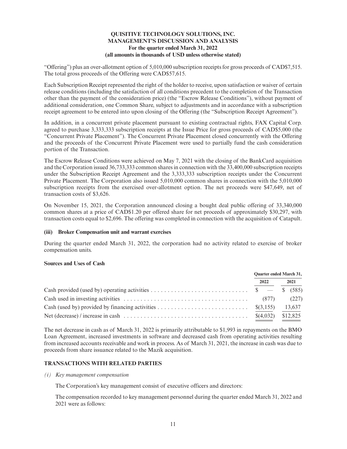"Offering") plus an over-allotment option of 5,010,000 subscription receipts for gross proceeds of CAD\$7,515. The total gross proceeds of the Offering were CAD\$57,615.

Each Subscription Receipt represented the right of the holder to receive, upon satisfaction or waiver of certain release conditions (including the satisfaction of all conditions precedent to the completion of the Transaction other than the payment of the consideration price) (the "Escrow Release Conditions"), without payment of additional consideration, one Common Share, subject to adjustments and in accordance with a subscription receipt agreement to be entered into upon closing of the Offering (the "Subscription Receipt Agreement").

In addition, in a concurrent private placement pursuant to existing contractual rights, FAX Capital Corp. agreed to purchase 3,333,333 subscription receipts at the Issue Price for gross proceeds of CAD\$5,000 (the "Concurrent Private Placement"). The Concurrent Private Placement closed concurrently with the Offering and the proceeds of the Concurrent Private Placement were used to partially fund the cash consideration portion of the Transaction.

The Escrow Release Conditions were achieved on May 7, 2021 with the closing of the BankCard acquisition and the Corporation issued 36,733,333 common shares in connection with the 33,400,000 subscription receipts under the Subscription Receipt Agreement and the 3,333,333 subscription receipts under the Concurrent Private Placement. The Corporation also issued 5,010,000 common shares in connection with the 5,010,000 subscription receipts from the exercised over-allotment option. The net proceeds were \$47,649, net of transaction costs of \$3,626.

On November 15, 2021, the Corporation announced closing a bought deal public offering of 33,340,000 common shares at a price of CAD\$1.20 per offered share for net proceeds of approximately \$30,297, with transaction costs equal to \$2,696. The offering was completed in connection with the acquisition of Catapult.

#### **(iii) Broker Compensation unit and warrant exercises**

During the quarter ended March 31, 2022, the corporation had no activity related to exercise of broker compensation units.

#### **Sources and Uses of Cash**

| <b>Ouarter ended March 31,</b> |        |  |
|--------------------------------|--------|--|
| 2022                           | 2021   |  |
|                                |        |  |
| (877)                          | (227)  |  |
|                                | 13,637 |  |
|                                |        |  |

The net decrease in cash as of March 31, 2022 is primarily attributable to \$1,993 in repayments on the BMO Loan Agreement, increased investments in software and decreased cash from operating activities resulting from increased accounts receivable and work in process. As of March 31, 2021, the increase in cash was due to proceeds from share issuance related to the Mazik acquisition.

# **TRANSACTIONS WITH RELATED PARTIES**

*(i) Key management compensation*

The Corporation's key management consist of executive officers and directors:

The compensation recorded to key management personnel during the quarter ended March 31, 2022 and 2021 were as follows: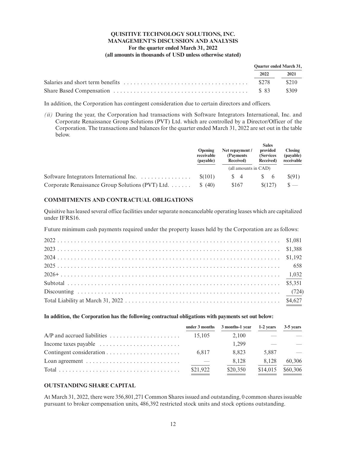| <b>Ouarter ended March 31,</b> |           |  |
|--------------------------------|-----------|--|
|                                | 2022 2021 |  |
|                                |           |  |
|                                |           |  |

In addition, the Corporation has contingent consideration due to certain directors and officers.

*(ii)* During the year, the Corporation had transactions with Software Integrators International, Inc. and Corporate Renaissance Group Solutions (PVT) Ltd. which are controlled by a Director/Officer of the Corporation. The transactions and balances for the quarter ended March 31, 2022 are set out in the table below.

|                                                  | <b>Opening</b><br>receivable<br>(payable) | Net repayment /<br>(Payments)<br>Received) | <b>Sales</b><br>provided<br>(Services<br>Received) | <b>Closing</b><br>(payable)<br>receivable |
|--------------------------------------------------|-------------------------------------------|--------------------------------------------|----------------------------------------------------|-------------------------------------------|
|                                                  |                                           | (all amounts in CAD)                       |                                                    |                                           |
|                                                  | \$(101)                                   | $\sqrt{3}$ 4                               | -6                                                 | S(91)                                     |
| Corporate Renaissance Group Solutions (PVT) Ltd. | (40)<br>S.                                | \$167                                      | \$(127)                                            | $S -$                                     |

## **COMMITMENTS AND CONTRACTUAL OBLIGATIONS**

Quisitive has leased several office facilities under separate noncancelable operating leases which are capitalized under IFRS16.

Future minimum cash payments required under the property leases held by the Corporation are as follows:

#### **In addition, the Corporation has the following contractual obligations with payments set out below:**

|                                                                          |          | under 3 months 3 months-1 year | 1-2 years | 3-5 years     |
|--------------------------------------------------------------------------|----------|--------------------------------|-----------|---------------|
|                                                                          | 15.105   | 2.100                          |           |               |
| Income taxes payable $\dots \dots \dots \dots \dots \dots \dots \dots$   |          | 1.299                          |           |               |
|                                                                          | 6.817    | 8.823                          | 5.887     | $\frac{1}{2}$ |
| Loan agreement $\dots\dots\dots\dots\dots\dots\dots\dots\dots\dots\dots$ |          | 8.128                          | 8.128     | 60,306        |
|                                                                          | \$21,922 | \$20,350                       | \$14,015  | \$60,306      |

# **OUTSTANDING SHARE CAPITAL**

At March 31, 2022, there were 356,801,271 Common Shares issued and outstanding, 0 common shares issuable pursuant to broker compensation units, 486,392 restricted stock units and stock options outstanding.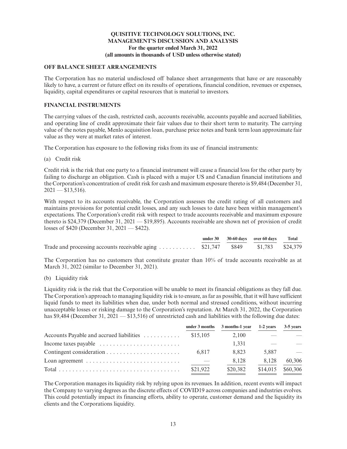# **OFF BALANCE SHEET ARRANGEMENTS**

The Corporation has no material undisclosed off balance sheet arrangements that have or are reasonably likely to have, a current or future effect on its results of operations, financial condition, revenues or expenses, liquidity, capital expenditures or capital resources that is material to investors.

# **FINANCIAL INSTRUMENTS**

The carrying values of the cash, restricted cash, accounts receivable, accounts payable and accrued liabilities, and operating line of credit approximate their fair values due to their short term to maturity. The carrying value of the notes payable, Menlo acquisition loan, purchase price notes and bank term loan approximate fair value as they were at market rates of interest.

The Corporation has exposure to the following risks from its use of financial instruments:

(a) Credit risk

Credit risk is the risk that one party to a financial instrument will cause a financial loss for the other party by failing to discharge an obligation. Cash is placed with a major US and Canadian financial institutions and the Corporation's concentration of credit risk for cash and maximum exposure thereto is \$9,484 (December 31,  $2021 - $13,516$ .

With respect to its accounts receivable, the Corporation assesses the credit rating of all customers and maintains provisions for potential credit losses, and any such losses to date have been within management's expectations. The Corporation's credit risk with respect to trade accounts receivable and maximum exposure thereto is \$24,379 (December 31, 2021 — \$19,895). Accounts receivable are shown net of provision of credit losses of \$420 (December 31, 2021 — \$422).

|                                                                                 |  | under 30 30-60 days over 60 days Total |  |
|---------------------------------------------------------------------------------|--|----------------------------------------|--|
| Trade and processing accounts receivable aging  \$21,747 \$849 \$1,783 \$24,379 |  |                                        |  |

The Corporation has no customers that constitute greater than 10% of trade accounts receivable as at March 31, 2022 (similar to December 31, 2021).

(b) Liquidity risk

Liquidity risk is the risk that the Corporation will be unable to meet its financial obligations as they fall due. The Corporation's approach to managing liquidity risk is to ensure, as far as possible, that it will have sufficient liquid funds to meet its liabilities when due, under both normal and stressed conditions, without incurring unacceptable losses or risking damage to the Corporation's reputation. At March 31, 2022, the Corporation has \$9,484 (December 31, 2021 — \$13,516) of unrestricted cash and liabilities with the following due dates:

|                                                                          |          | under 3 months 3 months-1 year | 1-2 years | 3-5 years                |
|--------------------------------------------------------------------------|----------|--------------------------------|-----------|--------------------------|
| Accounts Payable and accrued liabilities                                 | \$15,105 | 2.100                          |           |                          |
| Income taxes payable $\dots \dots \dots \dots \dots \dots \dots \dots$   |          | 1.331                          |           |                          |
|                                                                          | 6.817    | 8.823                          | 5.887     | $\overline{\phantom{a}}$ |
| Loan agreement $\dots\dots\dots\dots\dots\dots\dots\dots\dots\dots\dots$ |          | 8,128                          | 8.128     | 60,306                   |
|                                                                          | \$21,922 | \$20,382                       | \$14,015  | \$60,306                 |

The Corporation manages its liquidity risk by relying upon its revenues. In addition, recent events will impact the Company to varying degrees as the discrete effects of COVID19 across companies and industries evolves. This could potentially impact its financing efforts, ability to operate, customer demand and the liquidity its clients and the Corporations liquidity.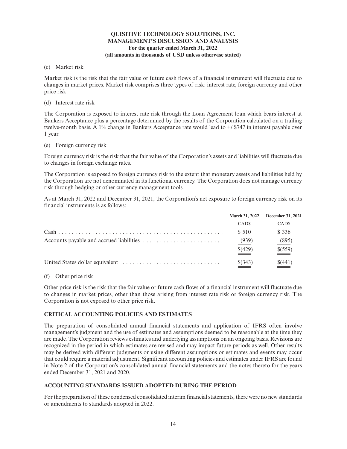## (c) Market risk

Market risk is the risk that the fair value or future cash flows of a financial instrument will fluctuate due to changes in market prices. Market risk comprises three types of risk: interest rate, foreign currency and other price risk.

(d) Interest rate risk

The Corporation is exposed to interest rate risk through the Loan Agreement loan which bears interest at Bankers Acceptance plus a percentage determined by the results of the Corporation calculated on a trailing twelve-month basis. A 1% change in Bankers Acceptance rate would lead to  $+/$  \$747 in interest payable over 1 year.

(e) Foreign currency risk

Foreign currency risk is the risk that the fair value of the Corporation's assets and liabilities will fluctuate due to changes in foreign exchange rates.

The Corporation is exposed to foreign currency risk to the extent that monetary assets and liabilities held by the Corporation are not denominated in its functional currency. The Corporation does not manage currency risk through hedging or other currency management tools.

As at March 31, 2022 and December 31, 2021, the Corporation's net exposure to foreign currency risk on its financial instruments is as follows:

| <b>March 31, 2022</b> | December 31, 2021 |
|-----------------------|-------------------|
| <b>CADS</b>           | CAD <sub>s</sub>  |
| \$ 510                | \$ 336            |
| (939)                 | (895)             |
| \$(429)               | \$(559)           |
| \$(343)               | \$(441)           |

# (f) Other price risk

Other price risk is the risk that the fair value or future cash flows of a financial instrument will fluctuate due to changes in market prices, other than those arising from interest rate risk or foreign currency risk. The Corporation is not exposed to other price risk.

# **CRITICAL ACCOUNTING POLICIES AND ESTIMATES**

The preparation of consolidated annual financial statements and application of IFRS often involve management's judgment and the use of estimates and assumptions deemed to be reasonable at the time they are made. The Corporation reviews estimates and underlying assumptions on an ongoing basis. Revisions are recognized in the period in which estimates are revised and may impact future periods as well. Other results may be derived with different judgments or using different assumptions or estimates and events may occur that could require a material adjustment. Significant accounting policies and estimates under IFRS are found in Note 2 of the Corporation's consolidated annual financial statements and the notes thereto for the years ended December 31, 2021 and 2020.

# **ACCOUNTING STANDARDS ISSUED ADOPTED DURING THE PERIOD**

For the preparation of these condensed consolidated interim financial statements, there were no new standards or amendments to standards adopted in 2022.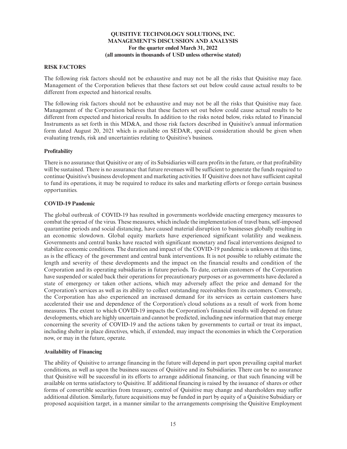# **RISK FACTORS**

The following risk factors should not be exhaustive and may not be all the risks that Quisitive may face. Management of the Corporation believes that these factors set out below could cause actual results to be different from expected and historical results.

The following risk factors should not be exhaustive and may not be all the risks that Quisitive may face. Management of the Corporation believes that these factors set out below could cause actual results to be different from expected and historical results. In addition to the risks noted below, risks related to Financial Instruments as set forth in this MD&A, and those risk factors described in Quisitive's annual information form dated August 20, 2021 which is available on SEDAR, special consideration should be given when evaluating trends, risk and uncertainties relating to Quisitive's business.

## **Profitability**

There is no assurance that Quisitive or any of its Subsidiaries will earn profits in the future, or that profitability will be sustained. There is no assurance that future revenues will be sufficient to generate the funds required to continue Quisitive's business development and marketing activities. If Quisitive does not have sufficient capital to fund its operations, it may be required to reduce its sales and marketing efforts or forego certain business opportunities.

## **COVID-19 Pandemic**

The global outbreak of COVID-19 has resulted in governments worldwide enacting emergency measures to combat the spread of the virus. These measures, which include the implementation of travel bans, self-imposed quarantine periods and social distancing, have caused material disruption to businesses globally resulting in an economic slowdown. Global equity markets have experienced significant volatility and weakness. Governments and central banks have reacted with significant monetary and fiscal interventions designed to stabilize economic conditions. The duration and impact of the COVID-19 pandemic is unknown at this time, as is the efficacy of the government and central bank interventions. It is not possible to reliably estimate the length and severity of these developments and the impact on the financial results and condition of the Corporation and its operating subsidiaries in future periods. To date, certain customers of the Corporation have suspended or scaled back their operations for precautionary purposes or as governments have declared a state of emergency or taken other actions, which may adversely affect the price and demand for the Corporation's services as well as its ability to collect outstanding receivables from its customers. Conversely, the Corporation has also experienced an increased demand for its services as certain customers have accelerated their use and dependence of the Corporation's cloud solutions as a result of work from home measures. The extent to which COVID-19 impacts the Corporation's financial results will depend on future developments, which are highly uncertain and cannot be predicted, including new information that may emerge concerning the severity of COVID-19 and the actions taken by governments to curtail or treat its impact, including shelter in place directives, which, if extended, may impact the economies in which the Corporation now, or may in the future, operate.

#### **Availability of Financing**

The ability of Quisitive to arrange financing in the future will depend in part upon prevailing capital market conditions, as well as upon the business success of Quisitive and its Subsidiaries. There can be no assurance that Quisitive will be successful in its efforts to arrange additional financing, or that such financing will be available on terms satisfactory to Quisitive. If additional financing is raised by the issuance of shares or other forms of convertible securities from treasury, control of Quisitive may change and shareholders may suffer additional dilution. Similarly, future acquisitions may be funded in part by equity of a Quisitive Subsidiary or proposed acquisition target, in a manner similar to the arrangements comprising the Quisitive Employment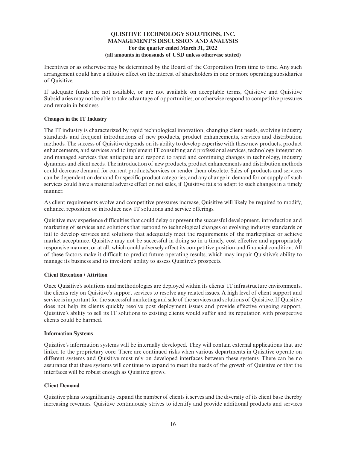Incentives or as otherwise may be determined by the Board of the Corporation from time to time. Any such arrangement could have a dilutive effect on the interest of shareholders in one or more operating subsidiaries of Quisitive.

If adequate funds are not available, or are not available on acceptable terms, Quisitive and Quisitive Subsidiaries may not be able to take advantage of opportunities, or otherwise respond to competitive pressures and remain in business.

# **Changes in the IT Industry**

The IT industry is characterized by rapid technological innovation, changing client needs, evolving industry standards and frequent introductions of new products, product enhancements, services and distribution methods. The success of Quisitive depends on its ability to develop expertise with these new products, product enhancements, and services and to implement IT consulting and professional services, technology integration and managed services that anticipate and respond to rapid and continuing changes in technology, industry dynamics and client needs. The introduction of new products, product enhancements and distribution methods could decrease demand for current products/services or render them obsolete. Sales of products and services can be dependent on demand for specific product categories, and any change in demand for or supply of such services could have a material adverse effect on net sales, if Quisitive fails to adapt to such changes in a timely manner.

As client requirements evolve and competitive pressures increase, Quisitive will likely be required to modify, enhance, reposition or introduce new IT solutions and service offerings.

Quisitive may experience difficulties that could delay or prevent the successful development, introduction and marketing of services and solutions that respond to technological changes or evolving industry standards or fail to develop services and solutions that adequately meet the requirements of the marketplace or achieve market acceptance. Quisitive may not be successful in doing so in a timely, cost effective and appropriately responsive manner, or at all, which could adversely affect its competitive position and financial condition. All of these factors make it difficult to predict future operating results, which may impair Quisitive's ability to manage its business and its investors' ability to assess Quisitive's prospects.

# **Client Retention / Attrition**

Once Quisitive's solutions and methodologies are deployed within its clients' IT infrastructure environments, the clients rely on Quisitive's support services to resolve any related issues. A high level of client support and service is important for the successful marketing and sale of the services and solutions of Quisitive. If Quisitive does not help its clients quickly resolve post deployment issues and provide effective ongoing support, Quisitive's ability to sell its IT solutions to existing clients would suffer and its reputation with prospective clients could be harmed.

#### **Information Systems**

Quisitive's information systems will be internally developed. They will contain external applications that are linked to the proprietary core. There are continued risks when various departments in Quisitive operate on different systems and Quisitive must rely on developed interfaces between these systems. There can be no assurance that these systems will continue to expand to meet the needs of the growth of Quisitive or that the interfaces will be robust enough as Quisitive grows.

#### **Client Demand**

Quisitive plans to significantly expand the number of clients it serves and the diversity of its client base thereby increasing revenues. Quisitive continuously strives to identify and provide additional products and services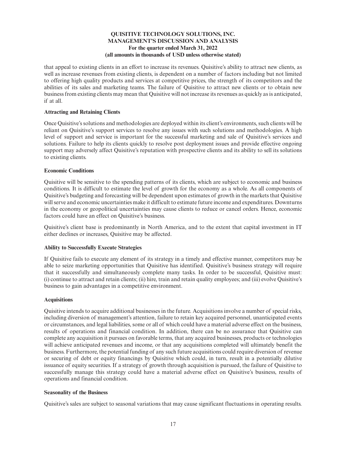that appeal to existing clients in an effort to increase its revenues. Quisitive's ability to attract new clients, as well as increase revenues from existing clients, is dependent on a number of factors including but not limited to offering high quality products and services at competitive prices, the strength of its competitors and the abilities of its sales and marketing teams. The failure of Quisitive to attract new clients or to obtain new business from existing clients may mean that Quisitive will not increase its revenues as quickly as is anticipated, if at all.

## **Attracting and Retaining Clients**

Once Quisitive's solutions and methodologies are deployed within its client's environments, such clients will be reliant on Quisitive's support services to resolve any issues with such solutions and methodologies. A high level of support and service is important for the successful marketing and sale of Quisitive's services and solutions. Failure to help its clients quickly to resolve post deployment issues and provide effective ongoing support may adversely affect Quisitive's reputation with prospective clients and its ability to sell its solutions to existing clients.

## **Economic Conditions**

Quisitive will be sensitive to the spending patterns of its clients, which are subject to economic and business conditions. It is difficult to estimate the level of growth for the economy as a whole. As all components of Quisitive's budgeting and forecasting will be dependent upon estimates of growth in the markets that Quisitive will serve and economic uncertainties make it difficult to estimate future income and expenditures. Downturns in the economy or geopolitical uncertainties may cause clients to reduce or cancel orders. Hence, economic factors could have an effect on Quisitive's business.

Quisitive's client base is predominantly in North America, and to the extent that capital investment in IT either declines or increases, Quisitive may be affected.

# **Ability to Successfully Execute Strategies**

If Quisitive fails to execute any element of its strategy in a timely and effective manner, competitors may be able to seize marketing opportunities that Quisitive has identified. Quisitive's business strategy will require that it successfully and simultaneously complete many tasks. In order to be successful, Quisitive must: (i) continue to attract and retain clients; (ii) hire, train and retain quality employees; and (iii) evolve Quisitive's business to gain advantages in a competitive environment.

#### **Acquisitions**

Quisitive intends to acquire additional businesses in the future. Acquisitions involve a number of special risks, including diversion of management's attention, failure to retain key acquired personnel, unanticipated events or circumstances, and legal liabilities, some or all of which could have a material adverse effect on the business, results of operations and financial condition. In addition, there can be no assurance that Quisitive can complete any acquisition it pursues on favorable terms, that any acquired businesses, products or technologies will achieve anticipated revenues and income, or that any acquisitions completed will ultimately benefit the business. Furthermore, the potential funding of any such future acquisitions could require diversion of revenue or securing of debt or equity financings by Quisitive which could, in turn, result in a potentially dilutive issuance of equity securities. If a strategy of growth through acquisition is pursued, the failure of Quisitive to successfully manage this strategy could have a material adverse effect on Quisitive's business, results of operations and financial condition.

#### **Seasonality of the Business**

Quisitive's sales are subject to seasonal variations that may cause significant fluctuations in operating results.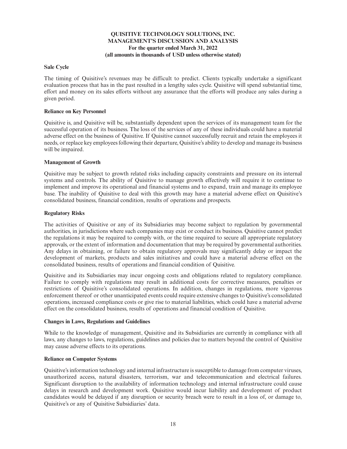## **Sale Cycle**

The timing of Quisitive's revenues may be difficult to predict. Clients typically undertake a significant evaluation process that has in the past resulted in a lengthy sales cycle. Quisitive will spend substantial time, effort and money on its sales efforts without any assurance that the efforts will produce any sales during a given period.

#### **Reliance on Key Personnel**

Quisitive is, and Quisitive will be, substantially dependent upon the services of its management team for the successful operation of its business. The loss of the services of any of these individuals could have a material adverse effect on the business of Quisitive. If Quisitive cannot successfully recruit and retain the employees it needs, or replace key employees following their departure, Quisitive's ability to develop and manage its business will be impaired.

## **Management of Growth**

Quisitive may be subject to growth related risks including capacity constraints and pressure on its internal systems and controls. The ability of Quisitive to manage growth effectively will require it to continue to implement and improve its operational and financial systems and to expand, train and manage its employee base. The inability of Quisitive to deal with this growth may have a material adverse effect on Quisitive's consolidated business, financial condition, results of operations and prospects.

## **Regulatory Risks**

The activities of Quisitive or any of its Subsidiaries may become subject to regulation by governmental authorities, in jurisdictions where such companies may exist or conduct its business. Quisitive cannot predict the regulations it may be required to comply with, or the time required to secure all appropriate regulatory approvals, or the extent of information and documentation that may be required by governmental authorities. Any delays in obtaining, or failure to obtain regulatory approvals may significantly delay or impact the development of markets, products and sales initiatives and could have a material adverse effect on the consolidated business, results of operations and financial condition of Quisitive.

Quisitive and its Subsidiaries may incur ongoing costs and obligations related to regulatory compliance. Failure to comply with regulations may result in additional costs for corrective measures, penalties or restrictions of Quisitive's consolidated operations. In addition, changes in regulations, more vigorous enforcement thereof or other unanticipated events could require extensive changes to Quisitive's consolidated operations, increased compliance costs or give rise to material liabilities, which could have a material adverse effect on the consolidated business, results of operations and financial condition of Quisitive.

#### **Changes in Laws, Regulations and Guidelines**

While to the knowledge of management, Quisitive and its Subsidiaries are currently in compliance with all laws, any changes to laws, regulations, guidelines and policies due to matters beyond the control of Quisitive may cause adverse effects to its operations.

#### **Reliance on Computer Systems**

Quisitive's information technology and internal infrastructure is susceptible to damage from computer viruses, unauthorized access, natural disasters, terrorism, war and telecommunication and electrical failures. Significant disruption to the availability of information technology and internal infrastructure could cause delays in research and development work. Quisitive would incur liability and development of product candidates would be delayed if any disruption or security breach were to result in a loss of, or damage to, Quisitive's or any of Quisitive Subsidiaries' data.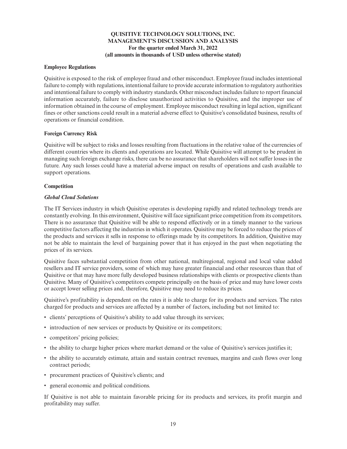### **Employee Regulations**

Quisitive is exposed to the risk of employee fraud and other misconduct. Employee fraud includes intentional failure to comply with regulations, intentional failure to provide accurate information to regulatory authorities and intentional failure to comply with industry standards. Other misconduct includes failure to report financial information accurately, failure to disclose unauthorized activities to Quisitive, and the improper use of information obtained in the course of employment. Employee misconduct resulting in legal action, significant fines or other sanctions could result in a material adverse effect to Quisitive's consolidated business, results of operations or financial condition.

## **Foreign Currency Risk**

Quisitive will be subject to risks and losses resulting from fluctuations in the relative value of the currencies of different countries where its clients and operations are located. While Quisitive will attempt to be prudent in managing such foreign exchange risks, there can be no assurance that shareholders will not suffer losses in the future. Any such losses could have a material adverse impact on results of operations and cash available to support operations.

## **Competition**

## *Global Cloud Solutions*

The IT Services industry in which Quisitive operates is developing rapidly and related technology trends are constantly evolving. In this environment, Quisitive will face significant price competition from its competitors. There is no assurance that Quisitive will be able to respond effectively or in a timely manner to the various competitive factors affecting the industries in which it operates. Quisitive may be forced to reduce the prices of the products and services it sells in response to offerings made by its competitors. In addition, Quisitive may not be able to maintain the level of bargaining power that it has enjoyed in the past when negotiating the prices of its services.

Quisitive faces substantial competition from other national, multiregional, regional and local value added resellers and IT service providers, some of which may have greater financial and other resources than that of Quisitive or that may have more fully developed business relationships with clients or prospective clients than Quisitive. Many of Quisitive's competitors compete principally on the basis of price and may have lower costs or accept lower selling prices and, therefore, Quisitive may need to reduce its prices.

Quisitive's profitability is dependent on the rates it is able to charge for its products and services. The rates charged for products and services are affected by a number of factors, including but not limited to:

- clients' perceptions of Quisitive's ability to add value through its services;
- introduction of new services or products by Quisitive or its competitors;
- competitors' pricing policies;
- the ability to charge higher prices where market demand or the value of Quisitive's services justifies it;
- the ability to accurately estimate, attain and sustain contract revenues, margins and cash flows over long contract periods;
- procurement practices of Quisitive's clients; and
- general economic and political conditions.

If Quisitive is not able to maintain favorable pricing for its products and services, its profit margin and profitability may suffer.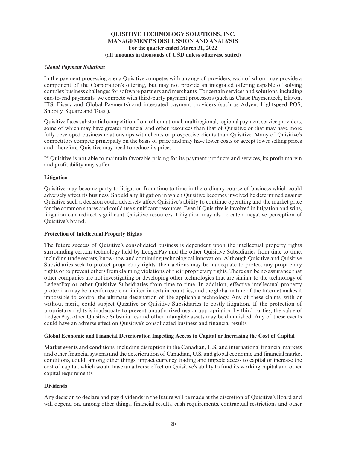#### *Global Payment Solutions*

In the payment processing arena Quisitive competes with a range of providers, each of whom may provide a component of the Corporation's offering, but may not provide an integrated offering capable of solving complex business challenges for software partners and merchants. For certain services and solutions, including end-to-end payments, we compete with third-party payment processors (such as Chase Paymentech, Elavon, FIS, Fiserv and Global Payments) and integrated payment providers (such as Adyen, Lightspeed POS, Shopify, Square and Toast).

Quisitive faces substantial competition from other national, multiregional, regional payment service providers, some of which may have greater financial and other resources than that of Quisitive or that may have more fully developed business relationships with clients or prospective clients than Quisitive. Many of Quisitive's competitors compete principally on the basis of price and may have lower costs or accept lower selling prices and, therefore, Quisitive may need to reduce its prices.

If Quisitive is not able to maintain favorable pricing for its payment products and services, its profit margin and profitability may suffer.

## **Litigation**

Quisitive may become party to litigation from time to time in the ordinary course of business which could adversely affect its business. Should any litigation in which Quisitive becomes involved be determined against Quisitive such a decision could adversely affect Quisitive's ability to continue operating and the market price for the common shares and could use significant resources. Even if Quisitive is involved in litigation and wins, litigation can redirect significant Quisitive resources. Litigation may also create a negative perception of Quisitive's brand.

#### **Protection of Intellectual Property Rights**

The future success of Quisitive's consolidated business is dependent upon the intellectual property rights surrounding certain technology held by LedgerPay and the other Quisitive Subsidiaries from time to time, including trade secrets, know-how and continuing technological innovation. Although Quisitive and Quisitive Subsidiaries seek to protect proprietary rights, their actions may be inadequate to protect any proprietary rights or to prevent others from claiming violations of their proprietary rights. There can be no assurance that other companies are not investigating or developing other technologies that are similar to the technology of LedgerPay or other Quisitive Subsidiaries from time to time. In addition, effective intellectual property protection may be unenforceable or limited in certain countries, and the global nature of the Internet makes it impossible to control the ultimate designation of the applicable technology. Any of these claims, with or without merit, could subject Quisitive or Quisitive Subsidiaries to costly litigation. If the protection of proprietary rights is inadequate to prevent unauthorized use or appropriation by third parties, the value of LedgerPay, other Quisitive Subsidiaries and other intangible assets may be diminished. Any of these events could have an adverse effect on Quisitive's consolidated business and financial results.

#### **Global Economic and Financial Deterioration Impeding Access to Capital or Increasing the Cost of Capital**

Market events and conditions, including disruption in the Canadian, U.S. and international financial markets and other financial systems and the deterioration of Canadian, U.S. and global economic and financial market conditions, could, among other things, impact currency trading and impede access to capital or increase the cost of capital, which would have an adverse effect on Quisitive's ability to fund its working capital and other capital requirements.

#### **Dividends**

Any decision to declare and pay dividends in the future will be made at the discretion of Quisitive's Board and will depend on, among other things, financial results, cash requirements, contractual restrictions and other